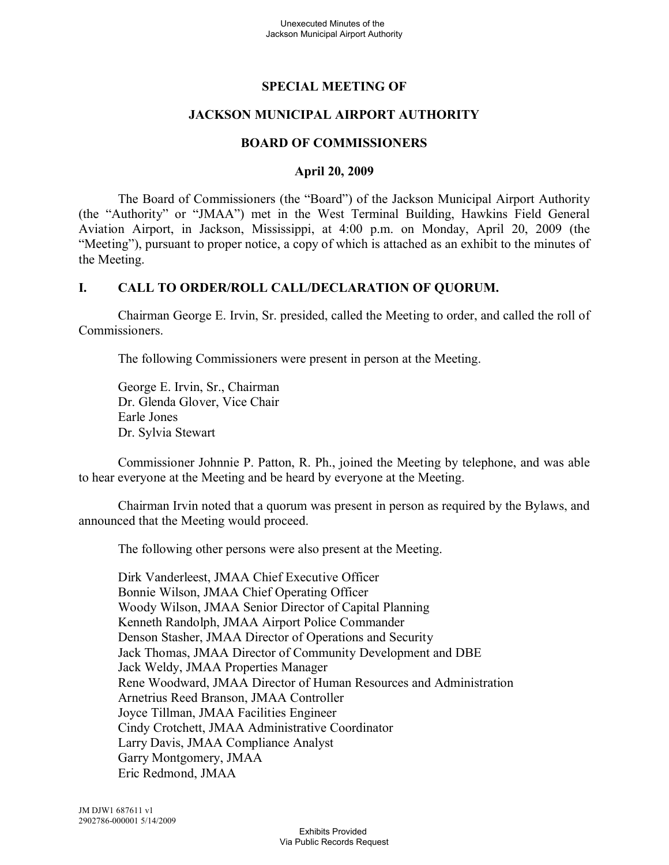# **SPECIAL MEETING OF**

## **JACKSON MUNICIPAL AIRPORT AUTHORITY**

#### **BOARD OF COMMISSIONERS**

#### **April 20, 2009**

The Board of Commissioners (the "Board") of the Jackson Municipal Airport Authority (the "Authority" or "JMAA") met in the West Terminal Building, Hawkins Field General Aviation Airport, in Jackson, Mississippi, at 4:00 p.m. on Monday, April 20, 2009 (the "Meeting"), pursuant to proper notice, a copy of which is attached as an exhibit to the minutes of the Meeting.

#### **I. CALL TO ORDER/ROLL CALL/DECLARATION OF QUORUM.**

Chairman George E. Irvin, Sr. presided, called the Meeting to order, and called the roll of Commissioners.

The following Commissioners were present in person at the Meeting.

George E. Irvin, Sr., Chairman Dr. Glenda Glover, Vice Chair Earle Jones Dr. Sylvia Stewart

Commissioner Johnnie P. Patton, R. Ph., joined the Meeting by telephone, and was able to hear everyone at the Meeting and be heard by everyone at the Meeting.

Chairman Irvin noted that a quorum was present in person as required by the Bylaws, and announced that the Meeting would proceed.

The following other persons were also present at the Meeting.

Dirk Vanderleest, JMAA Chief Executive Officer Bonnie Wilson, JMAA Chief Operating Officer Woody Wilson, JMAA Senior Director of Capital Planning Kenneth Randolph, JMAA Airport Police Commander Denson Stasher, JMAA Director of Operations and Security Jack Thomas, JMAA Director of Community Development and DBE Jack Weldy, JMAA Properties Manager Rene Woodward, JMAA Director of Human Resources and Administration Arnetrius Reed Branson, JMAA Controller Joyce Tillman, JMAA Facilities Engineer Cindy Crotchett, JMAA Administrative Coordinator Larry Davis, JMAA Compliance Analyst Garry Montgomery, JMAA Eric Redmond, JMAA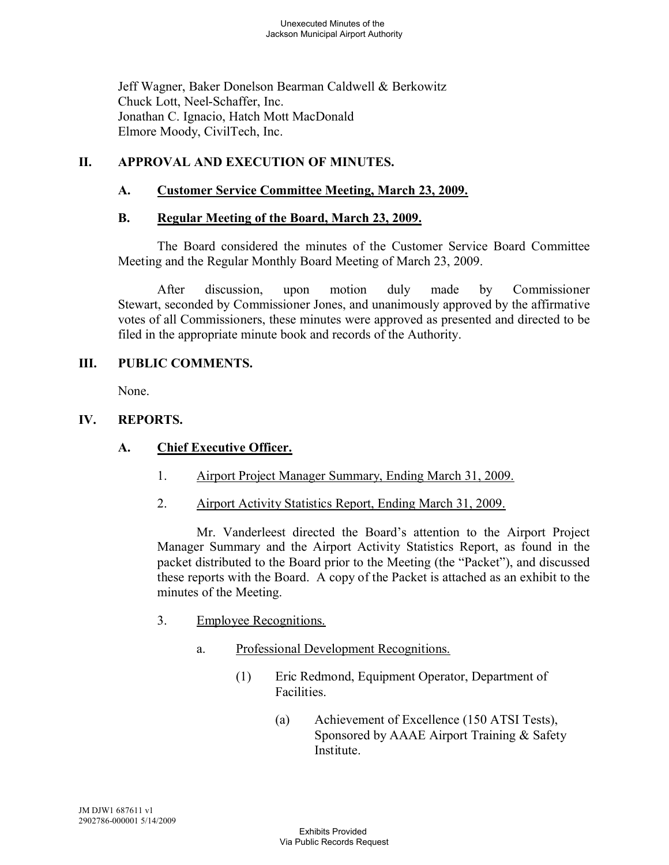Jeff Wagner, Baker Donelson Bearman Caldwell & Berkowitz Chuck Lott, Neel-Schaffer, Inc. Jonathan C. Ignacio, Hatch Mott MacDonald Elmore Moody, CivilTech, Inc.

## **II. APPROVAL AND EXECUTION OF MINUTES.**

## **A. Customer Service Committee Meeting, March 23, 2009.**

#### **B. Regular Meeting of the Board, March 23, 2009.**

The Board considered the minutes of the Customer Service Board Committee Meeting and the Regular Monthly Board Meeting of March 23, 2009.

After discussion, upon motion duly made by Commissioner Stewart, seconded by Commissioner Jones, and unanimously approved by the affirmative votes of all Commissioners, these minutes were approved as presented and directed to be filed in the appropriate minute book and records of the Authority.

## **III. PUBLIC COMMENTS.**

None.

## **IV. REPORTS.**

## **A. Chief Executive Officer.**

- 1. Airport Project Manager Summary, Ending March 31, 2009.
- 2. Airport Activity Statistics Report, Ending March 31, 2009.

Mr. Vanderleest directed the Board's attention to the Airport Project Manager Summary and the Airport Activity Statistics Report, as found in the packet distributed to the Board prior to the Meeting (the "Packet"), and discussed these reports with the Board. A copy of the Packet is attached as an exhibit to the minutes of the Meeting.

- 3. Employee Recognitions.
	- a. Professional Development Recognitions.
		- (1) Eric Redmond, Equipment Operator, Department of Facilities.
			- (a) Achievement of Excellence (150 ATSI Tests), Sponsored by AAAE Airport Training & Safety Institute.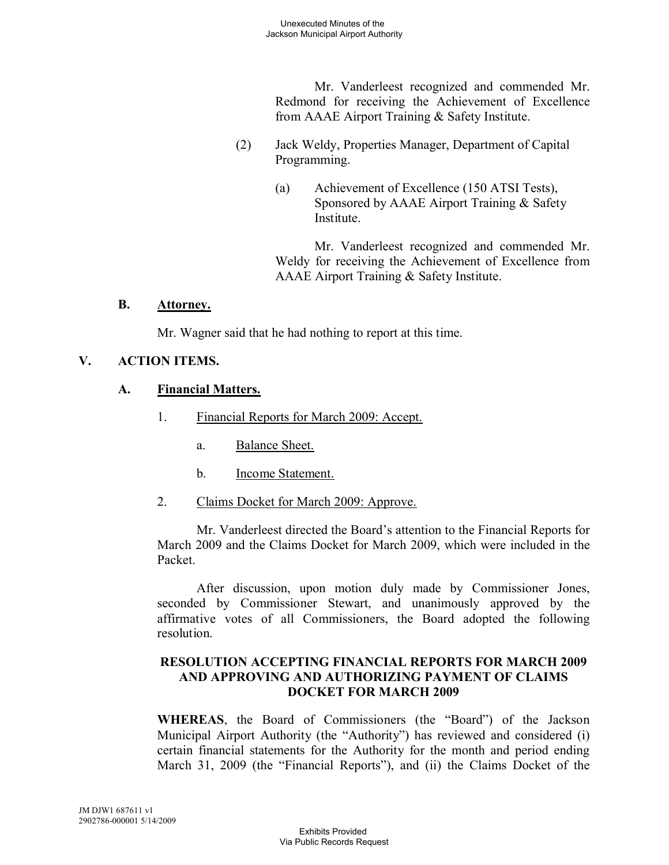Mr. Vanderleest recognized and commended Mr. Redmond for receiving the Achievement of Excellence from AAAE Airport Training & Safety Institute.

- (2) Jack Weldy, Properties Manager, Department of Capital Programming.
	- (a) Achievement of Excellence (150 ATSI Tests), Sponsored by AAAE Airport Training & Safety Institute.

Mr. Vanderleest recognized and commended Mr. Weldy for receiving the Achievement of Excellence from AAAE Airport Training & Safety Institute.

#### **B. Attorney.**

Mr. Wagner said that he had nothing to report at this time.

# **V. ACTION ITEMS.**

# **A. Financial Matters.**

- 1. Financial Reports for March 2009: Accept.
	- a. Balance Sheet.
	- b. Income Statement.
- 2. Claims Docket for March 2009: Approve.

Mr. Vanderleest directed the Board's attention to the Financial Reports for March 2009 and the Claims Docket for March 2009, which were included in the Packet.

After discussion, upon motion duly made by Commissioner Jones, seconded by Commissioner Stewart, and unanimously approved by the affirmative votes of all Commissioners, the Board adopted the following resolution.

## **RESOLUTION ACCEPTING FINANCIAL REPORTS FOR MARCH 2009 AND APPROVING AND AUTHORIZING PAYMENT OF CLAIMS DOCKET FOR MARCH 2009**

**WHEREAS**, the Board of Commissioners (the "Board") of the Jackson Municipal Airport Authority (the "Authority") has reviewed and considered (i) certain financial statements for the Authority for the month and period ending March 31, 2009 (the "Financial Reports"), and (ii) the Claims Docket of the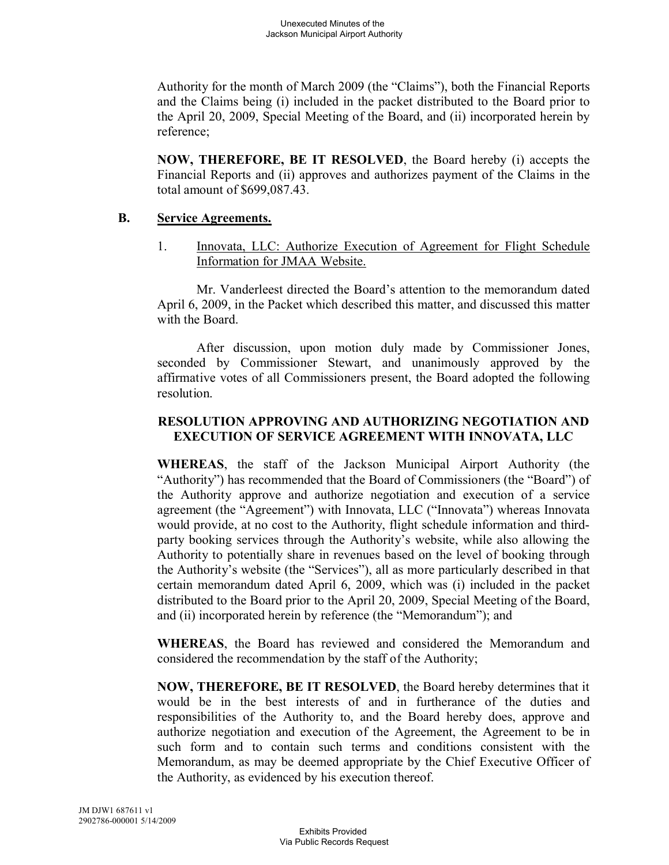Authority for the month of March 2009 (the "Claims"), both the Financial Reports and the Claims being (i) included in the packet distributed to the Board prior to the April 20, 2009, Special Meeting of the Board, and (ii) incorporated herein by reference;

**NOW, THEREFORE, BE IT RESOLVED**, the Board hereby (i) accepts the Financial Reports and (ii) approves and authorizes payment of the Claims in the total amount of \$699,087.43.

## **B. Service Agreements.**

1. Innovata, LLC: Authorize Execution of Agreement for Flight Schedule Information for JMAA Website.

Mr. Vanderleest directed the Board's attention to the memorandum dated April 6, 2009, in the Packet which described this matter, and discussed this matter with the Board.

After discussion, upon motion duly made by Commissioner Jones, seconded by Commissioner Stewart, and unanimously approved by the affirmative votes of all Commissioners present, the Board adopted the following resolution.

## **RESOLUTION APPROVING AND AUTHORIZING NEGOTIATION AND EXECUTION OF SERVICE AGREEMENT WITH INNOVATA, LLC**

**WHEREAS**, the staff of the Jackson Municipal Airport Authority (the "Authority") has recommended that the Board of Commissioners (the "Board") of the Authority approve and authorize negotiation and execution of a service agreement (the "Agreement") with Innovata, LLC ("Innovata") whereas Innovata would provide, at no cost to the Authority, flight schedule information and thirdparty booking services through the Authority's website, while also allowing the Authority to potentially share in revenues based on the level of booking through the Authority's website (the "Services"), all as more particularly described in that certain memorandum dated April 6, 2009, which was (i) included in the packet distributed to the Board prior to the April 20, 2009, Special Meeting of the Board, and (ii) incorporated herein by reference (the "Memorandum"); and

**WHEREAS**, the Board has reviewed and considered the Memorandum and considered the recommendation by the staff of the Authority;

**NOW, THEREFORE, BE IT RESOLVED**, the Board hereby determines that it would be in the best interests of and in furtherance of the duties and responsibilities of the Authority to, and the Board hereby does, approve and authorize negotiation and execution of the Agreement, the Agreement to be in such form and to contain such terms and conditions consistent with the Memorandum, as may be deemed appropriate by the Chief Executive Officer of the Authority, as evidenced by his execution thereof.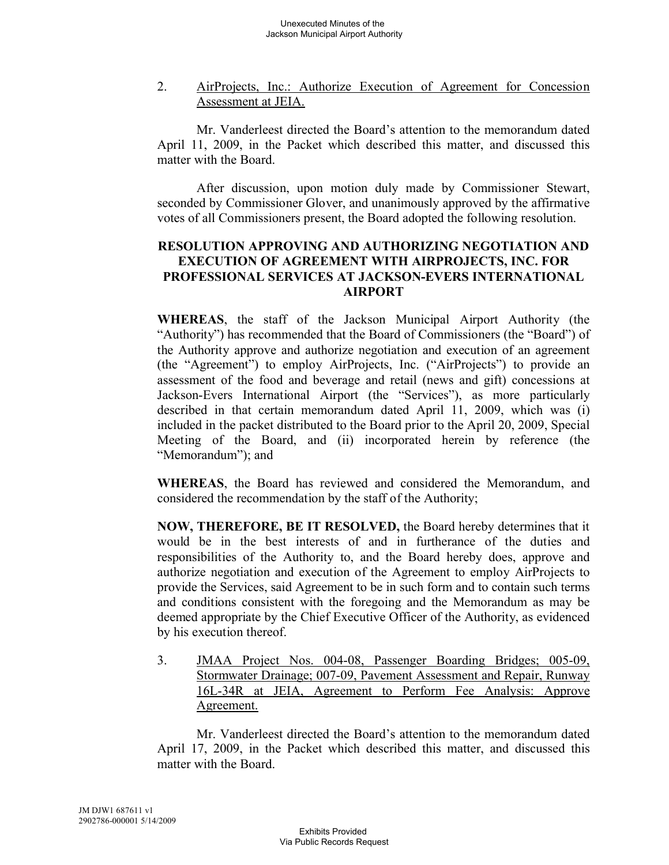2. AirProjects, Inc.: Authorize Execution of Agreement for Concession Assessment at JEIA.

Mr. Vanderleest directed the Board's attention to the memorandum dated April 11, 2009, in the Packet which described this matter, and discussed this matter with the Board.

After discussion, upon motion duly made by Commissioner Stewart, seconded by Commissioner Glover, and unanimously approved by the affirmative votes of all Commissioners present, the Board adopted the following resolution.

## **RESOLUTION APPROVING AND AUTHORIZING NEGOTIATION AND EXECUTION OF AGREEMENT WITH AIRPROJECTS, INC. FOR PROFESSIONAL SERVICES AT JACKSON-EVERS INTERNATIONAL AIRPORT**

**WHEREAS**, the staff of the Jackson Municipal Airport Authority (the "Authority") has recommended that the Board of Commissioners (the "Board") of the Authority approve and authorize negotiation and execution of an agreement (the "Agreement") to employ AirProjects, Inc. ("AirProjects") to provide an assessment of the food and beverage and retail (news and gift) concessions at Jackson-Evers International Airport (the "Services"), as more particularly described in that certain memorandum dated April 11, 2009, which was (i) included in the packet distributed to the Board prior to the April 20, 2009, Special Meeting of the Board, and (ii) incorporated herein by reference (the "Memorandum"); and

**WHEREAS**, the Board has reviewed and considered the Memorandum, and considered the recommendation by the staff of the Authority;

**NOW, THEREFORE, BE IT RESOLVED,** the Board hereby determines that it would be in the best interests of and in furtherance of the duties and responsibilities of the Authority to, and the Board hereby does, approve and authorize negotiation and execution of the Agreement to employ AirProjects to provide the Services, said Agreement to be in such form and to contain such terms and conditions consistent with the foregoing and the Memorandum as may be deemed appropriate by the Chief Executive Officer of the Authority, as evidenced by his execution thereof.

3. JMAA Project Nos. 004-08, Passenger Boarding Bridges; 005-09, Stormwater Drainage; 007-09, Pavement Assessment and Repair, Runway 16L-34R at JEIA, Agreement to Perform Fee Analysis: Approve Agreement.

Mr. Vanderleest directed the Board's attention to the memorandum dated April 17, 2009, in the Packet which described this matter, and discussed this matter with the Board.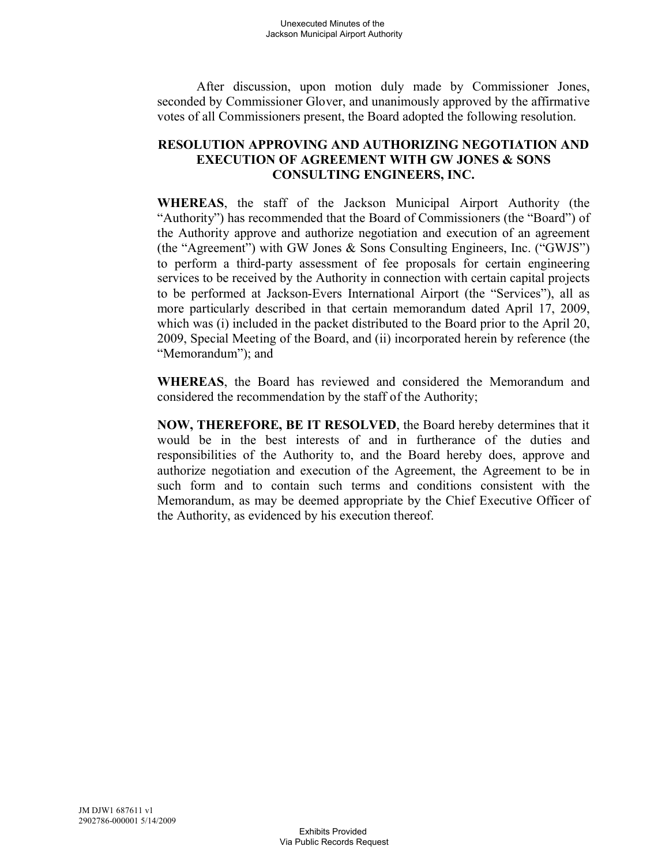After discussion, upon motion duly made by Commissioner Jones, seconded by Commissioner Glover, and unanimously approved by the affirmative votes of all Commissioners present, the Board adopted the following resolution.

### **RESOLUTION APPROVING AND AUTHORIZING NEGOTIATION AND EXECUTION OF AGREEMENT WITH GW JONES & SONS CONSULTING ENGINEERS, INC.**

**WHEREAS**, the staff of the Jackson Municipal Airport Authority (the "Authority") has recommended that the Board of Commissioners (the "Board") of the Authority approve and authorize negotiation and execution of an agreement (the "Agreement") with GW Jones & Sons Consulting Engineers, Inc. ("GWJS") to perform a third-party assessment of fee proposals for certain engineering services to be received by the Authority in connection with certain capital projects to be performed at Jackson-Evers International Airport (the "Services"), all as more particularly described in that certain memorandum dated April 17, 2009, which was (i) included in the packet distributed to the Board prior to the April 20, 2009, Special Meeting of the Board, and (ii) incorporated herein by reference (the "Memorandum"); and

**WHEREAS**, the Board has reviewed and considered the Memorandum and considered the recommendation by the staff of the Authority;

**NOW, THEREFORE, BE IT RESOLVED**, the Board hereby determines that it would be in the best interests of and in furtherance of the duties and responsibilities of the Authority to, and the Board hereby does, approve and authorize negotiation and execution of the Agreement, the Agreement to be in such form and to contain such terms and conditions consistent with the Memorandum, as may be deemed appropriate by the Chief Executive Officer of the Authority, as evidenced by his execution thereof.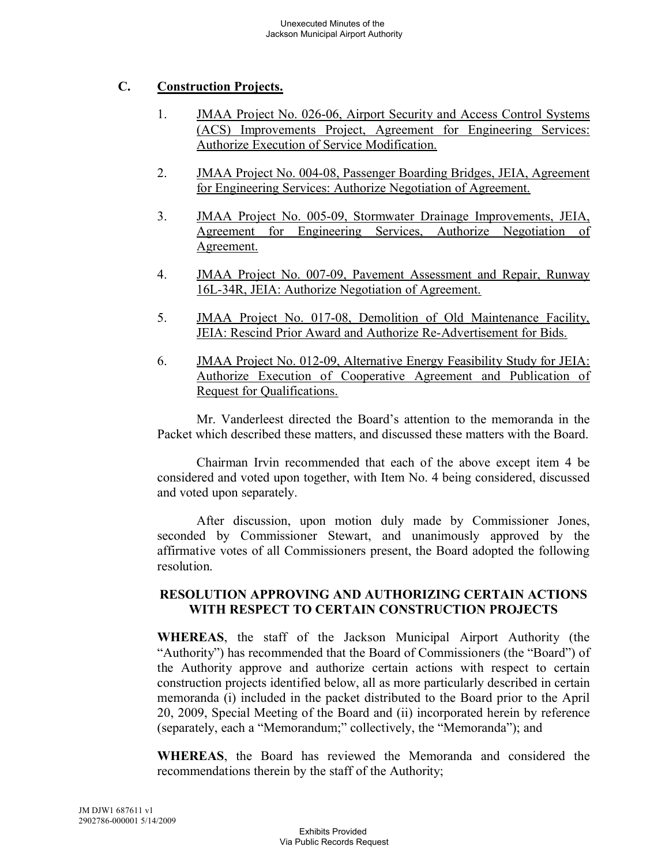# **C. Construction Projects.**

- 1. JMAA Project No. 026-06, Airport Security and Access Control Systems (ACS) Improvements Project, Agreement for Engineering Services: Authorize Execution of Service Modification.
- 2. JMAA Project No. 004-08, Passenger Boarding Bridges, JEIA, Agreement for Engineering Services: Authorize Negotiation of Agreement.
- 3. JMAA Project No. 005-09, Stormwater Drainage Improvements, JEIA, Agreement for Engineering Services, Authorize Negotiation of Agreement.
- 4. JMAA Project No. 007-09, Pavement Assessment and Repair, Runway 16L-34R, JEIA: Authorize Negotiation of Agreement.
- 5. JMAA Project No. 017-08, Demolition of Old Maintenance Facility, JEIA: Rescind Prior Award and Authorize Re-Advertisement for Bids.
- 6. JMAA Project No. 012-09, Alternative Energy Feasibility Study for JEIA: Authorize Execution of Cooperative Agreement and Publication of Request for Qualifications.

Mr. Vanderleest directed the Board's attention to the memoranda in the Packet which described these matters, and discussed these matters with the Board.

Chairman Irvin recommended that each of the above except item 4 be considered and voted upon together, with Item No. 4 being considered, discussed and voted upon separately.

After discussion, upon motion duly made by Commissioner Jones, seconded by Commissioner Stewart, and unanimously approved by the affirmative votes of all Commissioners present, the Board adopted the following resolution.

## **RESOLUTION APPROVING AND AUTHORIZING CERTAIN ACTIONS WITH RESPECT TO CERTAIN CONSTRUCTION PROJECTS**

**WHEREAS**, the staff of the Jackson Municipal Airport Authority (the "Authority") has recommended that the Board of Commissioners (the "Board") of the Authority approve and authorize certain actions with respect to certain construction projects identified below, all as more particularly described in certain memoranda (i) included in the packet distributed to the Board prior to the April 20, 2009, Special Meeting of the Board and (ii) incorporated herein by reference (separately, each a "Memorandum;" collectively, the "Memoranda"); and

**WHEREAS**, the Board has reviewed the Memoranda and considered the recommendations therein by the staff of the Authority;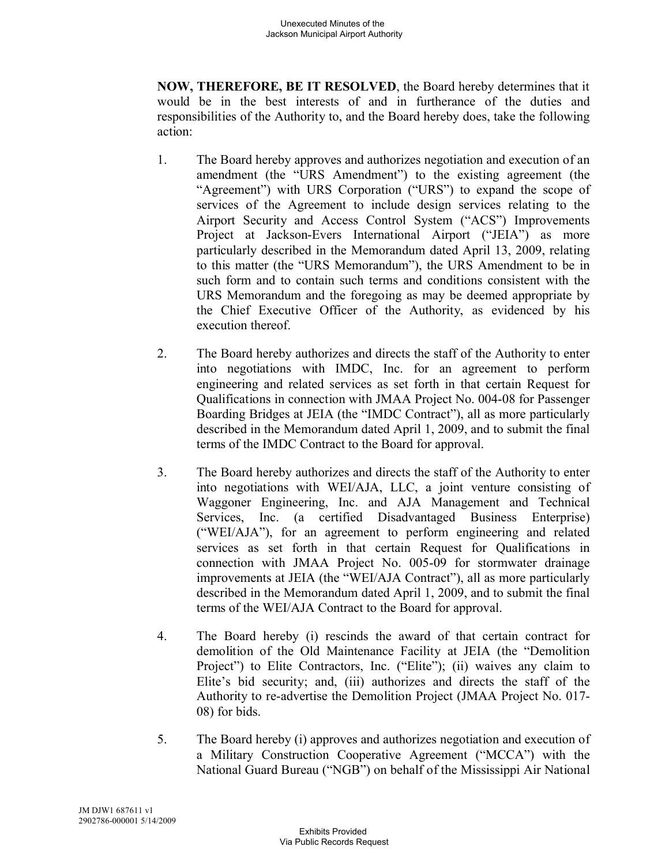**NOW, THEREFORE, BE IT RESOLVED**, the Board hereby determines that it would be in the best interests of and in furtherance of the duties and responsibilities of the Authority to, and the Board hereby does, take the following action:

- 1. The Board hereby approves and authorizes negotiation and execution of an amendment (the "URS Amendment") to the existing agreement (the "Agreement") with URS Corporation ("URS") to expand the scope of services of the Agreement to include design services relating to the Airport Security and Access Control System ("ACS") Improvements Project at Jackson-Evers International Airport ("JEIA") as more particularly described in the Memorandum dated April 13, 2009, relating to this matter (the "URS Memorandum"), the URS Amendment to be in such form and to contain such terms and conditions consistent with the URS Memorandum and the foregoing as may be deemed appropriate by the Chief Executive Officer of the Authority, as evidenced by his execution thereof.
- 2. The Board hereby authorizes and directs the staff of the Authority to enter into negotiations with IMDC, Inc. for an agreement to perform engineering and related services as set forth in that certain Request for Qualifications in connection with JMAA Project No. 004-08 for Passenger Boarding Bridges at JEIA (the "IMDC Contract"), all as more particularly described in the Memorandum dated April 1, 2009, and to submit the final terms of the IMDC Contract to the Board for approval.
- 3. The Board hereby authorizes and directs the staff of the Authority to enter into negotiations with WEI/AJA, LLC, a joint venture consisting of Waggoner Engineering, Inc. and AJA Management and Technical Services, Inc. (a certified Disadvantaged Business Enterprise) ("WEI/AJA"), for an agreement to perform engineering and related services as set forth in that certain Request for Qualifications in connection with JMAA Project No. 005-09 for stormwater drainage improvements at JEIA (the "WEI/AJA Contract"), all as more particularly described in the Memorandum dated April 1, 2009, and to submit the final terms of the WEI/AJA Contract to the Board for approval.
- 4. The Board hereby (i) rescinds the award of that certain contract for demolition of the Old Maintenance Facility at JEIA (the "Demolition Project") to Elite Contractors, Inc. ("Elite"); (ii) waives any claim to Elite's bid security; and, (iii) authorizes and directs the staff of the Authority to re-advertise the Demolition Project (JMAA Project No. 017- 08) for bids.
- 5. The Board hereby (i) approves and authorizes negotiation and execution of a Military Construction Cooperative Agreement ("MCCA") with the National Guard Bureau ("NGB") on behalf of the Mississippi Air National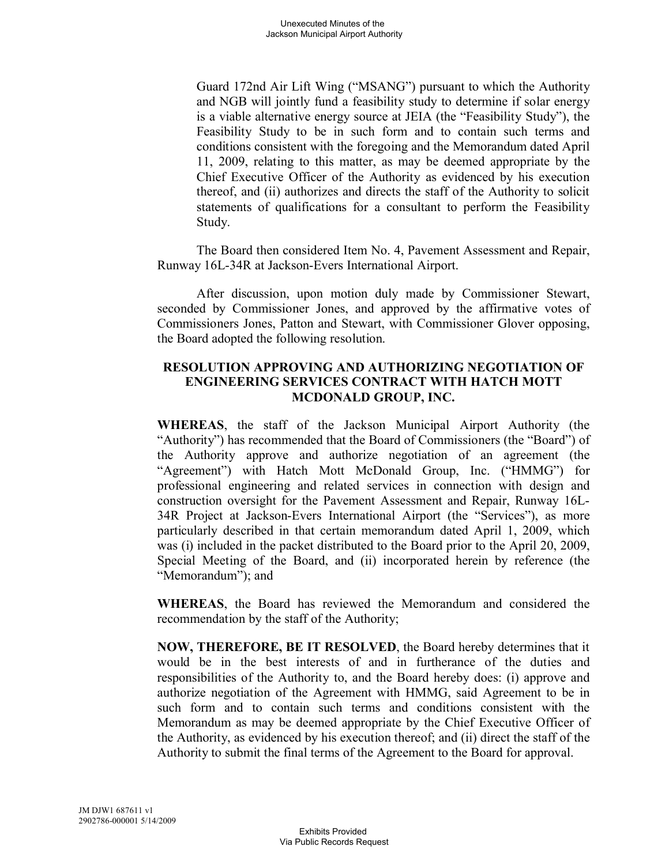Guard 172nd Air Lift Wing ("MSANG") pursuant to which the Authority and NGB will jointly fund a feasibility study to determine if solar energy is a viable alternative energy source at JEIA (the "Feasibility Study"), the Feasibility Study to be in such form and to contain such terms and conditions consistent with the foregoing and the Memorandum dated April 11, 2009, relating to this matter, as may be deemed appropriate by the Chief Executive Officer of the Authority as evidenced by his execution thereof, and (ii) authorizes and directs the staff of the Authority to solicit statements of qualifications for a consultant to perform the Feasibility Study.

The Board then considered Item No. 4, Pavement Assessment and Repair, Runway 16L-34R at Jackson-Evers International Airport.

After discussion, upon motion duly made by Commissioner Stewart, seconded by Commissioner Jones, and approved by the affirmative votes of Commissioners Jones, Patton and Stewart, with Commissioner Glover opposing, the Board adopted the following resolution.

## **RESOLUTION APPROVING AND AUTHORIZING NEGOTIATION OF ENGINEERING SERVICES CONTRACT WITH HATCH MOTT MCDONALD GROUP, INC.**

**WHEREAS**, the staff of the Jackson Municipal Airport Authority (the "Authority") has recommended that the Board of Commissioners (the "Board") of the Authority approve and authorize negotiation of an agreement (the "Agreement") with Hatch Mott McDonald Group, Inc. ("HMMG") for professional engineering and related services in connection with design and construction oversight for the Pavement Assessment and Repair, Runway 16L-34R Project at Jackson-Evers International Airport (the "Services"), as more particularly described in that certain memorandum dated April 1, 2009, which was (i) included in the packet distributed to the Board prior to the April 20, 2009, Special Meeting of the Board, and (ii) incorporated herein by reference (the "Memorandum"); and

**WHEREAS**, the Board has reviewed the Memorandum and considered the recommendation by the staff of the Authority;

**NOW, THEREFORE, BE IT RESOLVED**, the Board hereby determines that it would be in the best interests of and in furtherance of the duties and responsibilities of the Authority to, and the Board hereby does: (i) approve and authorize negotiation of the Agreement with HMMG, said Agreement to be in such form and to contain such terms and conditions consistent with the Memorandum as may be deemed appropriate by the Chief Executive Officer of the Authority, as evidenced by his execution thereof; and (ii) direct the staff of the Authority to submit the final terms of the Agreement to the Board for approval.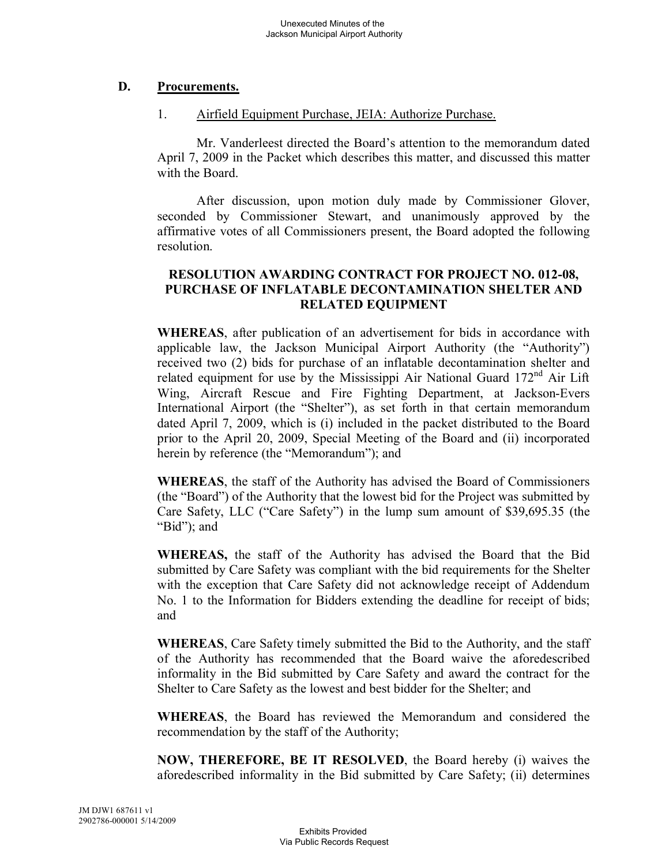## **D. Procurements.**

## 1. Airfield Equipment Purchase, JEIA: Authorize Purchase.

Mr. Vanderleest directed the Board's attention to the memorandum dated April 7, 2009 in the Packet which describes this matter, and discussed this matter with the Board.

After discussion, upon motion duly made by Commissioner Glover, seconded by Commissioner Stewart, and unanimously approved by the affirmative votes of all Commissioners present, the Board adopted the following resolution.

## **RESOLUTION AWARDING CONTRACT FOR PROJECT NO. 012-08, PURCHASE OF INFLATABLE DECONTAMINATION SHELTER AND RELATED EQUIPMENT**

**WHEREAS**, after publication of an advertisement for bids in accordance with applicable law, the Jackson Municipal Airport Authority (the "Authority") received two (2) bids for purchase of an inflatable decontamination shelter and related equipment for use by the Mississippi Air National Guard 172<sup>nd</sup> Air Lift Wing, Aircraft Rescue and Fire Fighting Department, at Jackson-Evers International Airport (the "Shelter"), as set forth in that certain memorandum dated April 7, 2009, which is (i) included in the packet distributed to the Board prior to the April 20, 2009, Special Meeting of the Board and (ii) incorporated herein by reference (the "Memorandum"); and

**WHEREAS**, the staff of the Authority has advised the Board of Commissioners (the "Board") of the Authority that the lowest bid for the Project was submitted by Care Safety, LLC ("Care Safety") in the lump sum amount of \$39,695.35 (the "Bid"); and

**WHEREAS,** the staff of the Authority has advised the Board that the Bid submitted by Care Safety was compliant with the bid requirements for the Shelter with the exception that Care Safety did not acknowledge receipt of Addendum No. 1 to the Information for Bidders extending the deadline for receipt of bids; and

**WHEREAS**, Care Safety timely submitted the Bid to the Authority, and the staff of the Authority has recommended that the Board waive the aforedescribed informality in the Bid submitted by Care Safety and award the contract for the Shelter to Care Safety as the lowest and best bidder for the Shelter; and

**WHEREAS**, the Board has reviewed the Memorandum and considered the recommendation by the staff of the Authority;

**NOW, THEREFORE, BE IT RESOLVED**, the Board hereby (i) waives the aforedescribed informality in the Bid submitted by Care Safety; (ii) determines